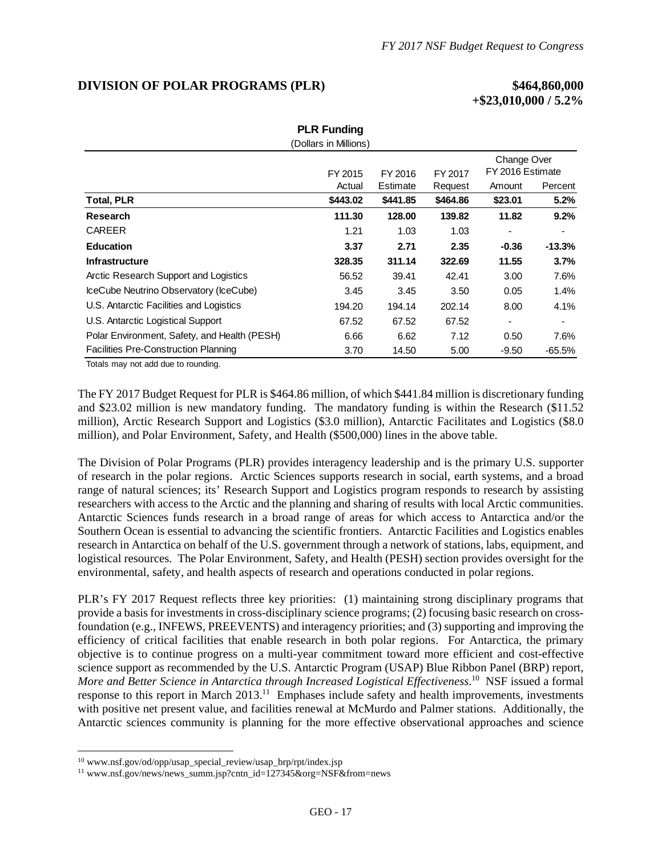## **DIVISION OF POLAR PROGRAMS (PLR) \$464,860,000**

# **+\$23,010,000 / 5.2%**

| <b>PLR Funding</b>                           |                       |          |          |                                 |           |
|----------------------------------------------|-----------------------|----------|----------|---------------------------------|-----------|
|                                              | (Dollars in Millions) |          |          |                                 |           |
|                                              | FY 2015<br>FY 2016    |          | FY 2017  | Change Over<br>FY 2016 Estimate |           |
|                                              | Actual                | Estimate | Request  | Amount                          | Percent   |
| <b>Total, PLR</b>                            | \$443.02              | \$441.85 | \$464.86 | \$23.01                         | 5.2%      |
| Research                                     | 111.30                | 128.00   | 139.82   | 11.82                           | 9.2%      |
| <b>CAREER</b>                                | 1.21                  | 1.03     | 1.03     |                                 |           |
| <b>Education</b>                             | 3.37                  | 2.71     | 2.35     | $-0.36$                         | $-13.3%$  |
| <b>Infrastructure</b>                        | 328.35                | 311.14   | 322.69   | 11.55                           | 3.7%      |
| Arctic Research Support and Logistics        | 56.52                 | 39.41    | 42.41    | 3.00                            | 7.6%      |
| IceCube Neutrino Observatory (IceCube)       | 3.45                  | 3.45     | 3.50     | 0.05                            | 1.4%      |
| U.S. Antarctic Facilities and Logistics      | 194.20                | 194.14   | 202.14   | 8.00                            | 4.1%      |
| U.S. Antarctic Logistical Support            | 67.52                 | 67.52    | 67.52    |                                 |           |
| Polar Environment, Safety, and Health (PESH) | 6.66                  | 6.62     | 7.12     | 0.50                            | 7.6%      |
| <b>Facilities Pre-Construction Planning</b>  | 3.70                  | 14.50    | 5.00     | $-9.50$                         | $-65.5\%$ |
|                                              |                       |          |          |                                 |           |

Totals may not add due to rounding.

The FY 2017 Budget Request for PLR is \$464.86 million, of which \$441.84 million is discretionary funding and \$23.02 million is new mandatory funding. The mandatory funding is within the Research (\$11.52 million), Arctic Research Support and Logistics (\$3.0 million), Antarctic Facilitates and Logistics (\$8.0 million), and Polar Environment, Safety, and Health (\$500,000) lines in the above table.

The Division of Polar Programs (PLR) provides interagency leadership and is the primary U.S. supporter of research in the polar regions. Arctic Sciences supports research in social, earth systems, and a broad range of natural sciences; its' Research Support and Logistics program responds to research by assisting researchers with access to the Arctic and the planning and sharing of results with local Arctic communities. Antarctic Sciences funds research in a broad range of areas for which access to Antarctica and/or the Southern Ocean is essential to advancing the scientific frontiers. Antarctic Facilities and Logistics enables research in Antarctica on behalf of the U.S. government through a network of stations, labs, equipment, and logistical resources. The Polar Environment, Safety, and Health (PESH) section provides oversight for the environmental, safety, and health aspects of research and operations conducted in polar regions.

PLR's FY 2017 Request reflects three key priorities: (1) maintaining strong disciplinary programs that provide a basis for investments in cross-disciplinary science programs; (2) focusing basic research on crossfoundation (e.g., INFEWS, PREEVENTS) and interagency priorities; and (3) supporting and improving the efficiency of critical facilities that enable research in both polar regions. For Antarctica, the primary objective is to continue progress on a multi-year commitment toward more efficient and cost-effective science support as recommended by the U.S. Antarctic Program (USAP) Blue Ribbon Panel (BRP) report, *More and Better Science in Antarctica through Increased Logistical Effectiveness*. 10 NSF issued a formal response to this report in March 2013.<sup>11</sup> Emphases include safety and health improvements, investments with positive net present value, and facilities renewal at McMurdo and Palmer stations. Additionally, the Antarctic sciences community is planning for the more effective observational approaches and science

<sup>&</sup>lt;sup>10</sup> www.nsf.gov/od/opp/usap\_special\_review/usap\_brp/rpt/index.jsp 11 www.nsf.gov/news/news\_summ.jsp?cntn\_id=127345&org=NSF&from=news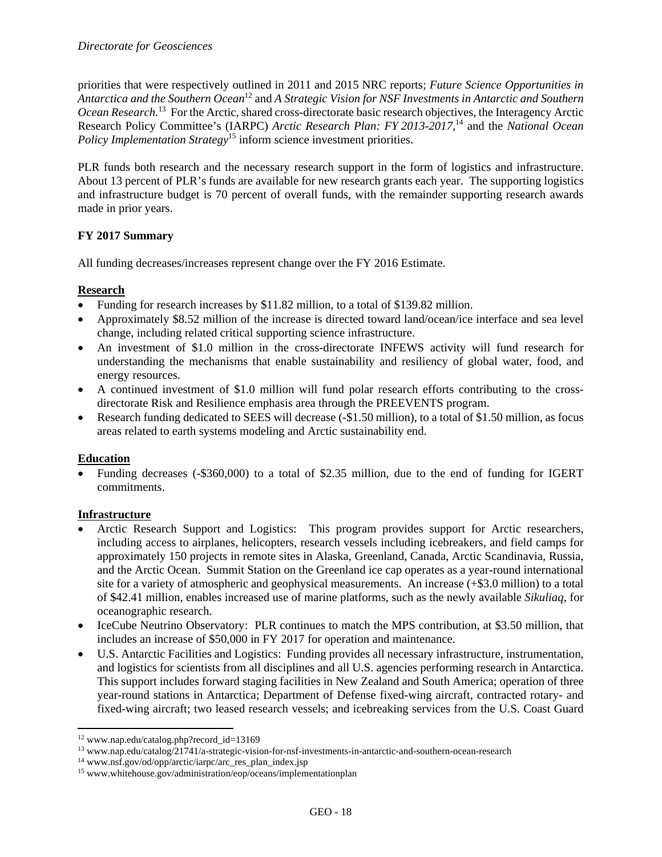priorities that were respectively outlined in 2011 and 2015 NRC reports; *Future Science Opportunities in Antarctica and the Southern Ocean*12 and *A Strategic Vision for NSF Investments in Antarctic and Southern Ocean Research.*13 For the Arctic, shared cross-directorate basic research objectives, the Interagency Arctic Research Policy Committee's (IARPC) *Arctic Research Plan: FY 2013-2017,*14 and the *National Ocean Policy Implementation Strategy*<sup>15</sup> inform science investment priorities.

PLR funds both research and the necessary research support in the form of logistics and infrastructure. About 13 percent of PLR's funds are available for new research grants each year. The supporting logistics and infrastructure budget is 70 percent of overall funds, with the remainder supporting research awards made in prior years.

## **FY 2017 Summary**

All funding decreases/increases represent change over the FY 2016 Estimate.

#### **Research**

- Funding for research increases by \$11.82 million, to a total of \$139.82 million.
- Approximately \$8.52 million of the increase is directed toward land/ocean/ice interface and sea level change, including related critical supporting science infrastructure.
- An investment of \$1.0 million in the cross-directorate INFEWS activity will fund research for understanding the mechanisms that enable sustainability and resiliency of global water, food, and energy resources.
- A continued investment of \$1.0 million will fund polar research efforts contributing to the crossdirectorate Risk and Resilience emphasis area through the PREEVENTS program.
- Research funding dedicated to SEES will decrease (-\$1.50 million), to a total of \$1.50 million, as focus areas related to earth systems modeling and Arctic sustainability end.

#### **Education**

 Funding decreases (-\$360,000) to a total of \$2.35 million, due to the end of funding for IGERT commitments.

#### **Infrastructure**

- Arctic Research Support and Logistics: This program provides support for Arctic researchers, including access to airplanes, helicopters, research vessels including icebreakers, and field camps for approximately 150 projects in remote sites in Alaska, Greenland, Canada, Arctic Scandinavia, Russia, and the Arctic Ocean. Summit Station on the Greenland ice cap operates as a year-round international site for a variety of atmospheric and geophysical measurements. An increase (+\$3.0 million) to a total of \$42.41 million, enables increased use of marine platforms, such as the newly available *Sikuliaq*, for oceanographic research.
- IceCube Neutrino Observatory: PLR continues to match the MPS contribution, at \$3.50 million, that includes an increase of \$50,000 in FY 2017 for operation and maintenance.
- U.S. Antarctic Facilities and Logistics: Funding provides all necessary infrastructure, instrumentation, and logistics for scientists from all disciplines and all U.S. agencies performing research in Antarctica. This support includes forward staging facilities in New Zealand and South America; operation of three year-round stations in Antarctica; Department of Defense fixed-wing aircraft, contracted rotary- and fixed-wing aircraft; two leased research vessels; and icebreaking services from the U.S. Coast Guard

<sup>12</sup> www.nap.edu/catalog.php?record\_id=13169

<sup>&</sup>lt;sup>13</sup> www.nap.edu/catalog/21741/a-strategic-vision-for-nsf-investments-in-antarctic-and-southern-ocean-research <sup>14</sup> www.nsf.gov/od/opp/arctic/iarpc/arc\_res\_plan\_index.jsp<br><sup>15</sup> www.whitehouse.gov/administration/eop/oceans/